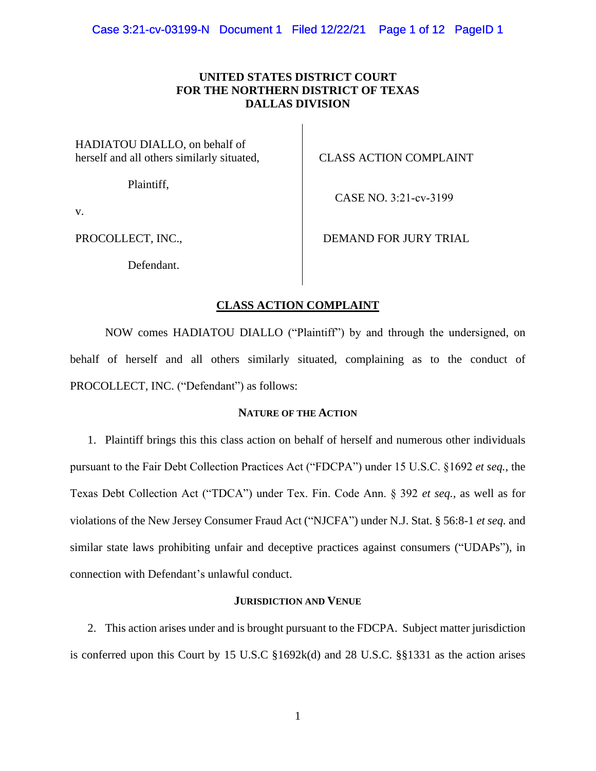# **UNITED STATES DISTRICT COURT FOR THE NORTHERN DISTRICT OF TEXAS DALLAS DIVISION**

HADIATOU DIALLO, on behalf of herself and all others similarly situated,

Plaintiff,

CLASS ACTION COMPLAINT

CASE NO. 3:21-cv-3199

v.

PROCOLLECT, INC.,

DEMAND FOR JURY TRIAL

Defendant.

# **CLASS ACTION COMPLAINT**

NOW comes HADIATOU DIALLO ("Plaintiff") by and through the undersigned, on behalf of herself and all others similarly situated, complaining as to the conduct of PROCOLLECT, INC. ("Defendant") as follows:

# **NATURE OF THE ACTION**

1. Plaintiff brings this this class action on behalf of herself and numerous other individuals pursuant to the Fair Debt Collection Practices Act ("FDCPA") under 15 U.S.C. §1692 *et seq.*, the Texas Debt Collection Act ("TDCA") under Tex. Fin. Code Ann. § 392 *et seq.,* as well as for violations of the New Jersey Consumer Fraud Act ("NJCFA") under N.J. Stat. § 56:8-1 *et seq.* and similar state laws prohibiting unfair and deceptive practices against consumers ("UDAPs"), in connection with Defendant's unlawful conduct.

# **JURISDICTION AND VENUE**

2. This action arises under and is brought pursuant to the FDCPA. Subject matter jurisdiction is conferred upon this Court by 15 U.S.C §1692k(d) and 28 U.S.C. §§1331 as the action arises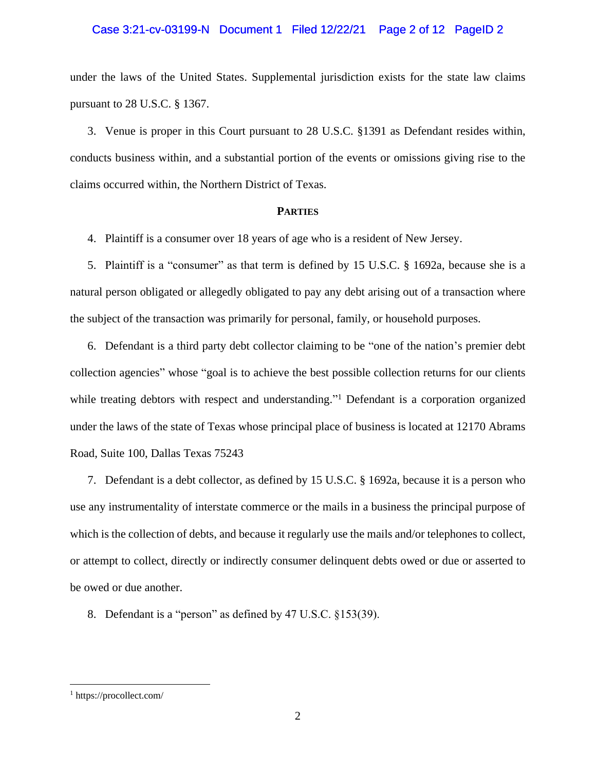# Case 3:21-cv-03199-N Document 1 Filed 12/22/21 Page 2 of 12 PageID 2

under the laws of the United States. Supplemental jurisdiction exists for the state law claims pursuant to 28 U.S.C. § 1367.

3. Venue is proper in this Court pursuant to 28 U.S.C. §1391 as Defendant resides within, conducts business within, and a substantial portion of the events or omissions giving rise to the claims occurred within, the Northern District of Texas.

# **PARTIES**

4. Plaintiff is a consumer over 18 years of age who is a resident of New Jersey.

5. Plaintiff is a "consumer" as that term is defined by 15 U.S.C. § 1692a, because she is a natural person obligated or allegedly obligated to pay any debt arising out of a transaction where the subject of the transaction was primarily for personal, family, or household purposes.

6. Defendant is a third party debt collector claiming to be "one of the nation's premier debt collection agencies" whose "goal is to achieve the best possible collection returns for our clients while treating debtors with respect and understanding."<sup>1</sup> Defendant is a corporation organized under the laws of the state of Texas whose principal place of business is located at 12170 Abrams Road, Suite 100, Dallas Texas 75243

7. Defendant is a debt collector, as defined by 15 U.S.C. § 1692a, because it is a person who use any instrumentality of interstate commerce or the mails in a business the principal purpose of which is the collection of debts, and because it regularly use the mails and/or telephones to collect, or attempt to collect, directly or indirectly consumer delinquent debts owed or due or asserted to be owed or due another.

8. Defendant is a "person" as defined by 47 U.S.C. §153(39).

 $\overline{a}$ 

<sup>1</sup> https://procollect.com/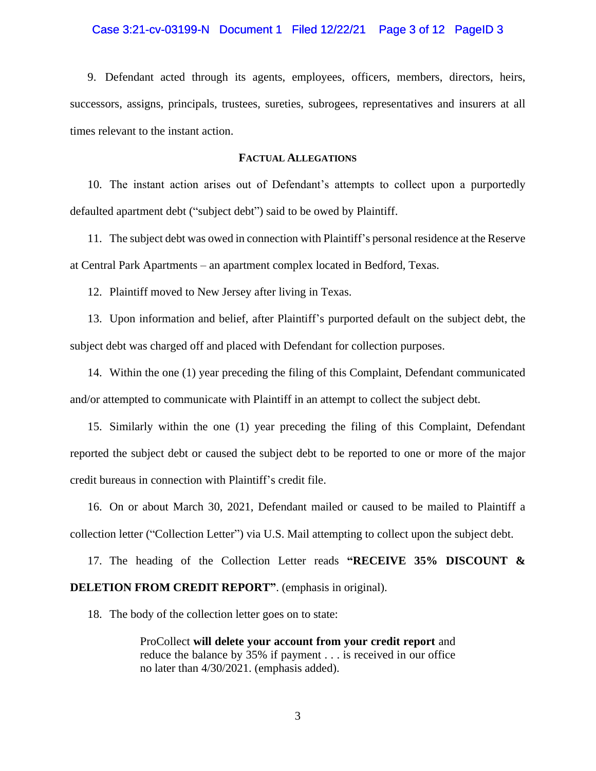# Case 3:21-cv-03199-N Document 1 Filed 12/22/21 Page 3 of 12 PageID 3

9. Defendant acted through its agents, employees, officers, members, directors, heirs, successors, assigns, principals, trustees, sureties, subrogees, representatives and insurers at all times relevant to the instant action.

# **FACTUAL ALLEGATIONS**

10. The instant action arises out of Defendant's attempts to collect upon a purportedly defaulted apartment debt ("subject debt") said to be owed by Plaintiff.

11. The subject debt was owed in connection with Plaintiff's personal residence at the Reserve at Central Park Apartments – an apartment complex located in Bedford, Texas.

12. Plaintiff moved to New Jersey after living in Texas.

13. Upon information and belief, after Plaintiff's purported default on the subject debt, the subject debt was charged off and placed with Defendant for collection purposes.

14. Within the one (1) year preceding the filing of this Complaint, Defendant communicated and/or attempted to communicate with Plaintiff in an attempt to collect the subject debt.

15. Similarly within the one (1) year preceding the filing of this Complaint, Defendant reported the subject debt or caused the subject debt to be reported to one or more of the major credit bureaus in connection with Plaintiff's credit file.

16. On or about March 30, 2021, Defendant mailed or caused to be mailed to Plaintiff a collection letter ("Collection Letter") via U.S. Mail attempting to collect upon the subject debt.

17. The heading of the Collection Letter reads **"RECEIVE 35% DISCOUNT & DELETION FROM CREDIT REPORT"**. (emphasis in original).

18. The body of the collection letter goes on to state:

ProCollect **will delete your account from your credit report** and reduce the balance by 35% if payment . . . is received in our office no later than 4/30/2021. (emphasis added).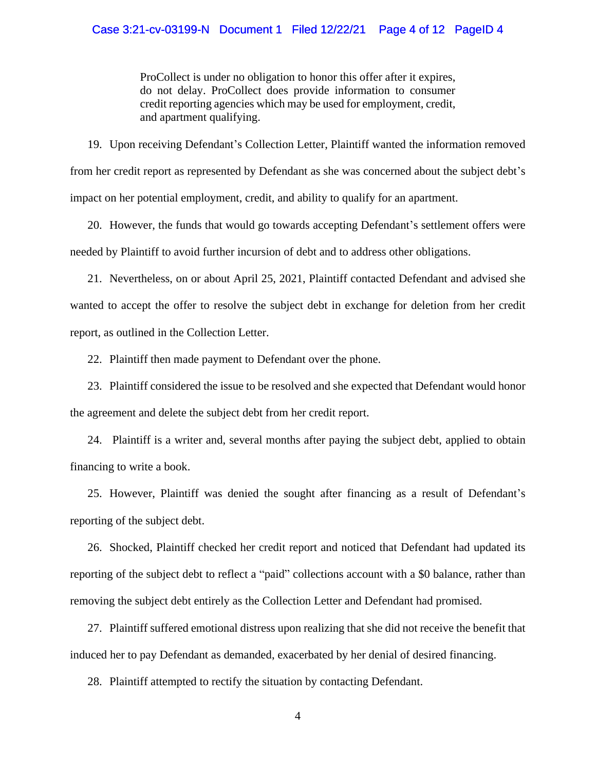ProCollect is under no obligation to honor this offer after it expires, do not delay. ProCollect does provide information to consumer credit reporting agencies which may be used for employment, credit, and apartment qualifying.

19. Upon receiving Defendant's Collection Letter, Plaintiff wanted the information removed from her credit report as represented by Defendant as she was concerned about the subject debt's impact on her potential employment, credit, and ability to qualify for an apartment.

20. However, the funds that would go towards accepting Defendant's settlement offers were needed by Plaintiff to avoid further incursion of debt and to address other obligations.

21. Nevertheless, on or about April 25, 2021, Plaintiff contacted Defendant and advised she wanted to accept the offer to resolve the subject debt in exchange for deletion from her credit report, as outlined in the Collection Letter.

22. Plaintiff then made payment to Defendant over the phone.

23. Plaintiff considered the issue to be resolved and she expected that Defendant would honor the agreement and delete the subject debt from her credit report.

24. Plaintiff is a writer and, several months after paying the subject debt, applied to obtain financing to write a book.

25. However, Plaintiff was denied the sought after financing as a result of Defendant's reporting of the subject debt.

26. Shocked, Plaintiff checked her credit report and noticed that Defendant had updated its reporting of the subject debt to reflect a "paid" collections account with a \$0 balance, rather than removing the subject debt entirely as the Collection Letter and Defendant had promised.

27. Plaintiff suffered emotional distress upon realizing that she did not receive the benefit that induced her to pay Defendant as demanded, exacerbated by her denial of desired financing.

28. Plaintiff attempted to rectify the situation by contacting Defendant.

4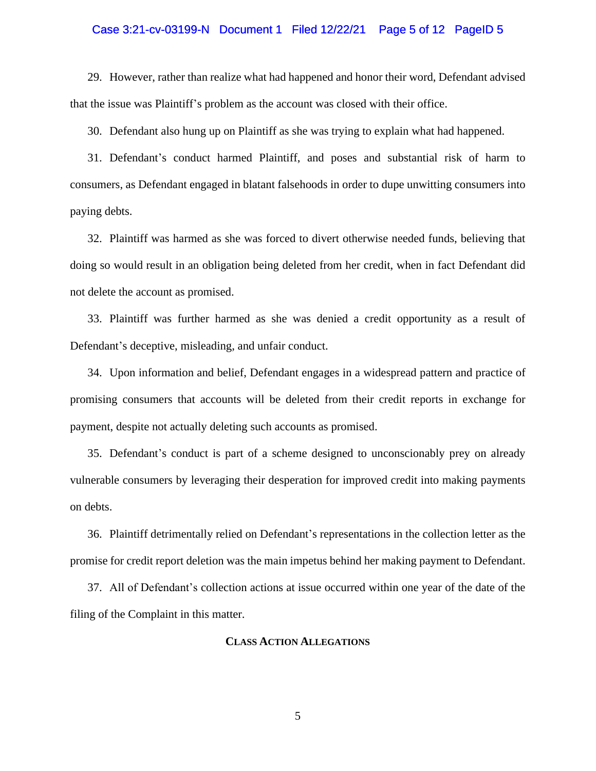## Case 3:21-cv-03199-N Document 1 Filed 12/22/21 Page 5 of 12 PageID 5

29. However, rather than realize what had happened and honor their word, Defendant advised that the issue was Plaintiff's problem as the account was closed with their office.

30. Defendant also hung up on Plaintiff as she was trying to explain what had happened.

31. Defendant's conduct harmed Plaintiff, and poses and substantial risk of harm to consumers, as Defendant engaged in blatant falsehoods in order to dupe unwitting consumers into paying debts.

32. Plaintiff was harmed as she was forced to divert otherwise needed funds, believing that doing so would result in an obligation being deleted from her credit, when in fact Defendant did not delete the account as promised.

33. Plaintiff was further harmed as she was denied a credit opportunity as a result of Defendant's deceptive, misleading, and unfair conduct.

34. Upon information and belief, Defendant engages in a widespread pattern and practice of promising consumers that accounts will be deleted from their credit reports in exchange for payment, despite not actually deleting such accounts as promised.

35. Defendant's conduct is part of a scheme designed to unconscionably prey on already vulnerable consumers by leveraging their desperation for improved credit into making payments on debts.

36. Plaintiff detrimentally relied on Defendant's representations in the collection letter as the promise for credit report deletion was the main impetus behind her making payment to Defendant.

37. All of Defendant's collection actions at issue occurred within one year of the date of the filing of the Complaint in this matter.

### **CLASS ACTION ALLEGATIONS**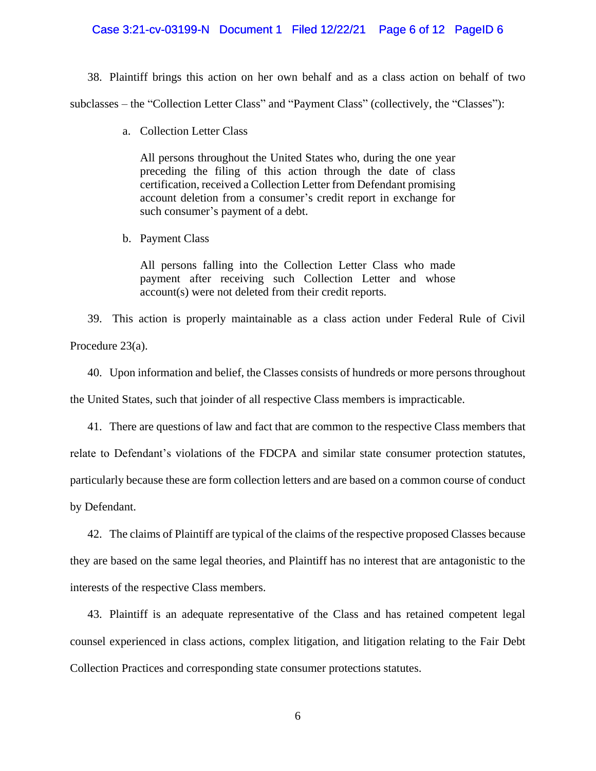## Case 3:21-cv-03199-N Document 1 Filed 12/22/21 Page 6 of 12 PageID 6

38. Plaintiff brings this action on her own behalf and as a class action on behalf of two subclasses – the "Collection Letter Class" and "Payment Class" (collectively, the "Classes"):

a. Collection Letter Class

All persons throughout the United States who, during the one year preceding the filing of this action through the date of class certification, received a Collection Letter from Defendant promising account deletion from a consumer's credit report in exchange for such consumer's payment of a debt.

b. Payment Class

All persons falling into the Collection Letter Class who made payment after receiving such Collection Letter and whose account(s) were not deleted from their credit reports.

39. This action is properly maintainable as a class action under Federal Rule of Civil Procedure 23(a).

40. Upon information and belief, the Classes consists of hundreds or more persons throughout the United States, such that joinder of all respective Class members is impracticable.

41. There are questions of law and fact that are common to the respective Class members that relate to Defendant's violations of the FDCPA and similar state consumer protection statutes, particularly because these are form collection letters and are based on a common course of conduct by Defendant.

42. The claims of Plaintiff are typical of the claims of the respective proposed Classes because they are based on the same legal theories, and Plaintiff has no interest that are antagonistic to the interests of the respective Class members.

43. Plaintiff is an adequate representative of the Class and has retained competent legal counsel experienced in class actions, complex litigation, and litigation relating to the Fair Debt Collection Practices and corresponding state consumer protections statutes.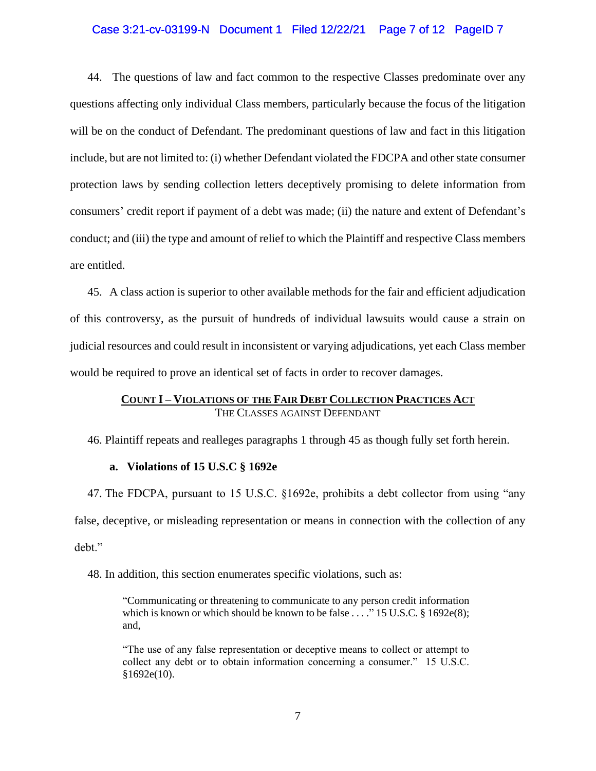# Case 3:21-cv-03199-N Document 1 Filed 12/22/21 Page 7 of 12 PageID 7

44. The questions of law and fact common to the respective Classes predominate over any questions affecting only individual Class members, particularly because the focus of the litigation will be on the conduct of Defendant. The predominant questions of law and fact in this litigation include, but are not limited to: (i) whether Defendant violated the FDCPA and other state consumer protection laws by sending collection letters deceptively promising to delete information from consumers' credit report if payment of a debt was made; (ii) the nature and extent of Defendant's conduct; and (iii) the type and amount of relief to which the Plaintiff and respective Class members are entitled.

45. A class action is superior to other available methods for the fair and efficient adjudication of this controversy, as the pursuit of hundreds of individual lawsuits would cause a strain on judicial resources and could result in inconsistent or varying adjudications, yet each Class member would be required to prove an identical set of facts in order to recover damages.

# **COUNT I – VIOLATIONS OF THE FAIR DEBT COLLECTION PRACTICES ACT** THE CLASSES AGAINST DEFENDANT

46. Plaintiff repeats and realleges paragraphs 1 through 45 as though fully set forth herein.

# **a. Violations of 15 U.S.C § 1692e**

47. The FDCPA, pursuant to 15 U.S.C. §1692e, prohibits a debt collector from using "any false, deceptive, or misleading representation or means in connection with the collection of any debt."

48. In addition, this section enumerates specific violations, such as:

"Communicating or threatening to communicate to any person credit information which is known or which should be known to be false  $\dots$ ." 15 U.S.C. § 1692e(8); and,

"The use of any false representation or deceptive means to collect or attempt to collect any debt or to obtain information concerning a consumer." 15 U.S.C.  $§1692e(10).$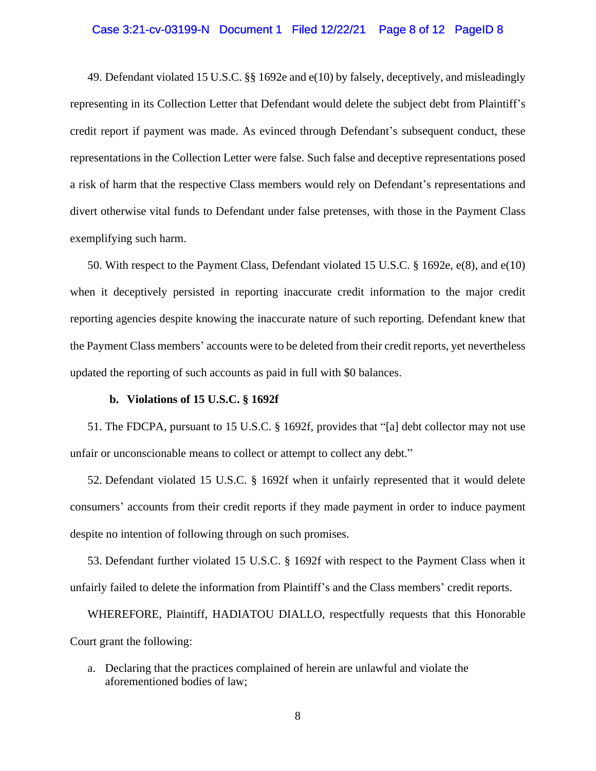## Case 3:21-cv-03199-N Document 1 Filed 12/22/21 Page 8 of 12 PageID 8

49. Defendant violated 15 U.S.C. §§ 1692e and e(10) by falsely, deceptively, and misleadingly representing in its Collection Letter that Defendant would delete the subject debt from Plaintiff's credit report if payment was made. As evinced through Defendant's subsequent conduct, these representations in the Collection Letter were false. Such false and deceptive representations posed a risk of harm that the respective Class members would rely on Defendant's representations and divert otherwise vital funds to Defendant under false pretenses, with those in the Payment Class exemplifying such harm.

50. With respect to the Payment Class, Defendant violated 15 U.S.C. § 1692e, e(8), and e(10) when it deceptively persisted in reporting inaccurate credit information to the major credit reporting agencies despite knowing the inaccurate nature of such reporting. Defendant knew that the Payment Class members' accounts were to be deleted from their credit reports, yet nevertheless updated the reporting of such accounts as paid in full with \$0 balances.

#### **b. Violations of 15 U.S.C. § 1692f**

51. The FDCPA, pursuant to 15 U.S.C. § 1692f, provides that "[a] debt collector may not use unfair or unconscionable means to collect or attempt to collect any debt."

52. Defendant violated 15 U.S.C. § 1692f when it unfairly represented that it would delete consumers' accounts from their credit reports if they made payment in order to induce payment despite no intention of following through on such promises.

53. Defendant further violated 15 U.S.C. § 1692f with respect to the Payment Class when it unfairly failed to delete the information from Plaintiff's and the Class members' credit reports.

WHEREFORE, Plaintiff, HADIATOU DIALLO, respectfully requests that this Honorable Court grant the following:

a. Declaring that the practices complained of herein are unlawful and violate the aforementioned bodies of law;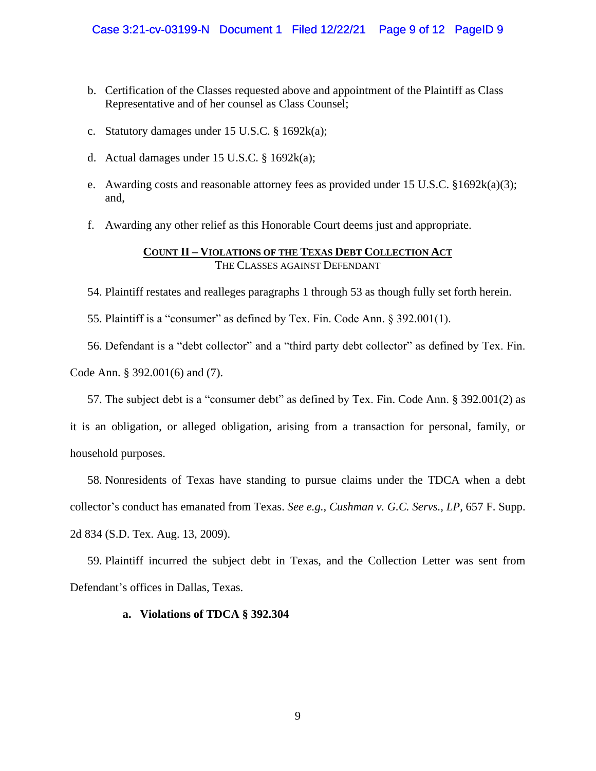- b. Certification of the Classes requested above and appointment of the Plaintiff as Class Representative and of her counsel as Class Counsel;
- c. Statutory damages under 15 U.S.C. § 1692k(a);
- d. Actual damages under 15 U.S.C.  $\S$  1692 $k(a)$ ;
- e. Awarding costs and reasonable attorney fees as provided under 15 U.S.C. §1692k(a)(3); and,
- f. Awarding any other relief as this Honorable Court deems just and appropriate.

# **COUNT II – VIOLATIONS OF THE TEXAS DEBT COLLECTION ACT** THE CLASSES AGAINST DEFENDANT

54. Plaintiff restates and realleges paragraphs 1 through 53 as though fully set forth herein.

55. Plaintiff is a "consumer" as defined by Tex. Fin. Code Ann. § 392.001(1).

56. Defendant is a "debt collector" and a "third party debt collector" as defined by Tex. Fin. Code Ann. § 392.001(6) and (7).

57. The subject debt is a "consumer debt" as defined by Tex. Fin. Code Ann. § 392.001(2) as

it is an obligation, or alleged obligation, arising from a transaction for personal, family, or household purposes.

58. Nonresidents of Texas have standing to pursue claims under the TDCA when a debt collector's conduct has emanated from Texas. *See e.g., Cushman v. G.C. Servs., LP,* 657 F. Supp. 2d 834 (S.D. Tex. Aug. 13, 2009).

59. Plaintiff incurred the subject debt in Texas, and the Collection Letter was sent from Defendant's offices in Dallas, Texas.

# **a. Violations of TDCA § 392.304**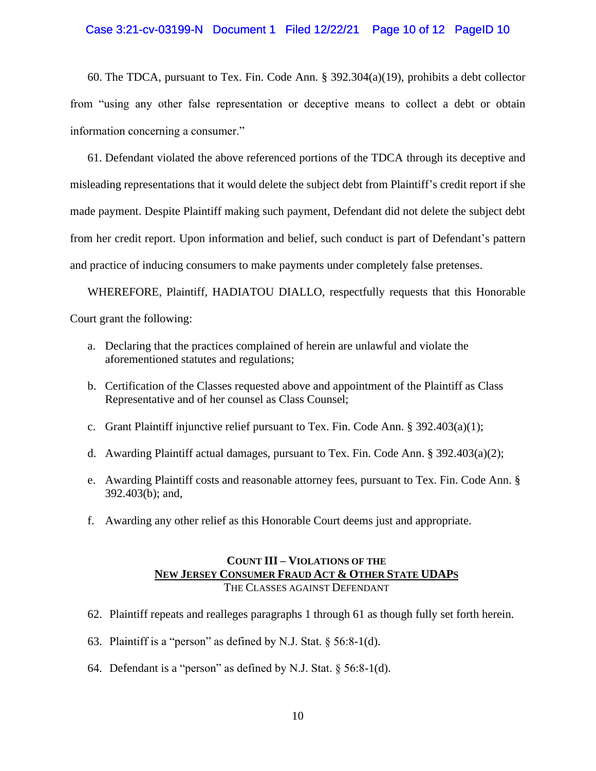# Case 3:21-cv-03199-N Document 1 Filed 12/22/21 Page 10 of 12 PageID 10

60. The TDCA, pursuant to Tex. Fin. Code Ann. § 392.304(a)(19), prohibits a debt collector from "using any other false representation or deceptive means to collect a debt or obtain information concerning a consumer."

61. Defendant violated the above referenced portions of the TDCA through its deceptive and misleading representations that it would delete the subject debt from Plaintiff's credit report if she made payment. Despite Plaintiff making such payment, Defendant did not delete the subject debt from her credit report. Upon information and belief, such conduct is part of Defendant's pattern and practice of inducing consumers to make payments under completely false pretenses.

WHEREFORE, Plaintiff, HADIATOU DIALLO, respectfully requests that this Honorable Court grant the following:

- a. Declaring that the practices complained of herein are unlawful and violate the aforementioned statutes and regulations;
- b. Certification of the Classes requested above and appointment of the Plaintiff as Class Representative and of her counsel as Class Counsel;
- c. Grant Plaintiff injunctive relief pursuant to Tex. Fin. Code Ann.  $\S 392.403(a)(1)$ ;
- d. Awarding Plaintiff actual damages, pursuant to Tex. Fin. Code Ann. § 392.403(a)(2);
- e. Awarding Plaintiff costs and reasonable attorney fees, pursuant to Tex. Fin. Code Ann. § 392.403(b); and,
- f. Awarding any other relief as this Honorable Court deems just and appropriate.

# **COUNT III – VIOLATIONS OF THE NEW JERSEY CONSUMER FRAUD ACT & OTHER STATE UDAPS** THE CLASSES AGAINST DEFENDANT

- 62. Plaintiff repeats and realleges paragraphs 1 through 61 as though fully set forth herein.
- 63. Plaintiff is a "person" as defined by N.J. Stat. § 56:8-1(d).
- 64. Defendant is a "person" as defined by N.J. Stat. § 56:8-1(d).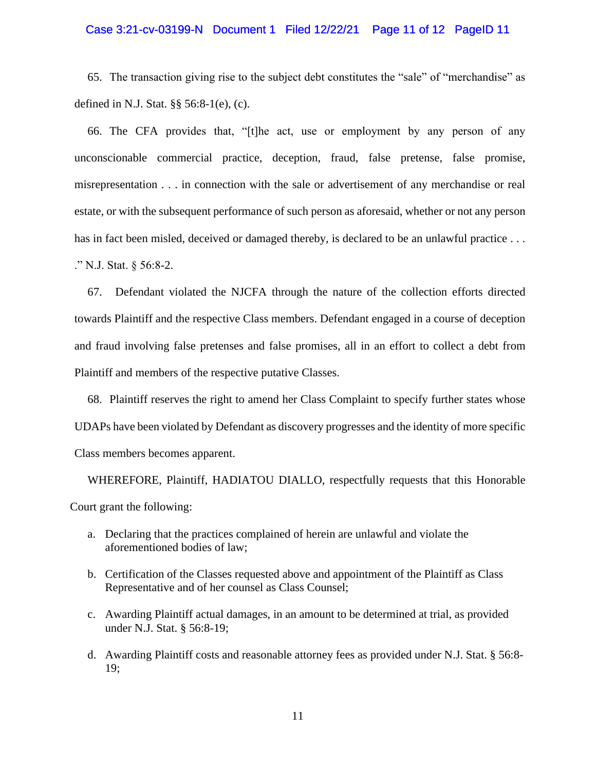# Case 3:21-cv-03199-N Document 1 Filed 12/22/21 Page 11 of 12 PageID 11

65. The transaction giving rise to the subject debt constitutes the "sale" of "merchandise" as defined in N.J. Stat. §§ 56:8-1(e), (c).

66. The CFA provides that, "[t]he act, use or employment by any person of any unconscionable commercial practice, deception, fraud, false pretense, false promise, misrepresentation . . . in connection with the sale or advertisement of any merchandise or real estate, or with the subsequent performance of such person as aforesaid, whether or not any person has in fact been misled, deceived or damaged thereby, is declared to be an unlawful practice . . . ." N.J. Stat. § 56:8-2.

67. Defendant violated the NJCFA through the nature of the collection efforts directed towards Plaintiff and the respective Class members. Defendant engaged in a course of deception and fraud involving false pretenses and false promises, all in an effort to collect a debt from Plaintiff and members of the respective putative Classes.

68. Plaintiff reserves the right to amend her Class Complaint to specify further states whose UDAPs have been violated by Defendant as discovery progresses and the identity of more specific Class members becomes apparent.

WHEREFORE, Plaintiff, HADIATOU DIALLO, respectfully requests that this Honorable Court grant the following:

- a. Declaring that the practices complained of herein are unlawful and violate the aforementioned bodies of law;
- b. Certification of the Classes requested above and appointment of the Plaintiff as Class Representative and of her counsel as Class Counsel;
- c. Awarding Plaintiff actual damages, in an amount to be determined at trial, as provided under N.J. Stat. § 56:8-19;
- d. Awarding Plaintiff costs and reasonable attorney fees as provided under N.J. Stat. § 56:8- 19;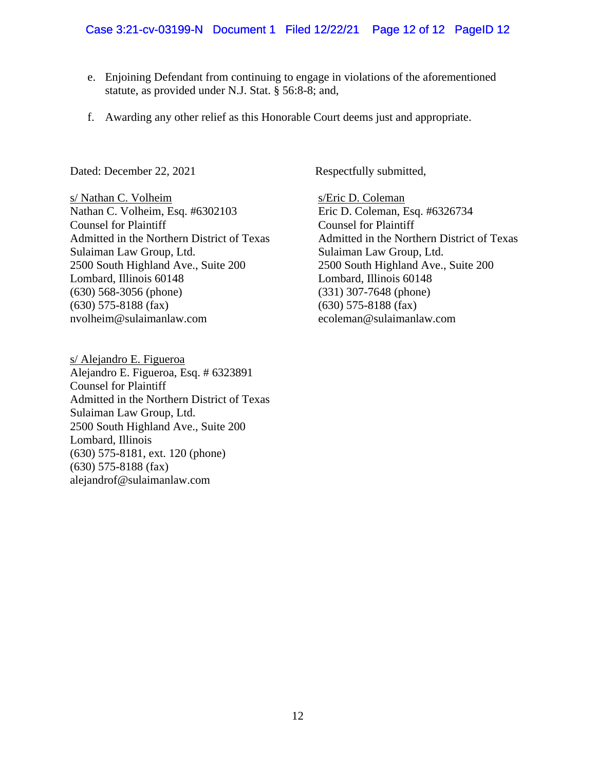- e. Enjoining Defendant from continuing to engage in violations of the aforementioned statute, as provided under N.J. Stat. § 56:8-8; and,
- f. Awarding any other relief as this Honorable Court deems just and appropriate.

Dated: December 22, 2021 Respectfully submitted,

s/ Nathan C. Volheim s/Eric D. Coleman Nathan C. Volheim, Esq. #6302103 Eric D. Coleman, Esq. #6326734 Counsel for Plaintiff Counsel for Plaintiff Admitted in the Northern District of Texas Admitted in the Northern District of Texas Sulaiman Law Group, Ltd.<br>
2500 South Highland Ave., Suite 200<br>
2500 South Highland Ave., Suite 200 2500 South Highland Ave., Suite 200 2500 South Highland Ave., Suite 200 Lombard, Illinois 60148 Lombard, Illinois 60148 (630) 568-3056 (phone) (331) 307-7648 (phone) (630) 575-8188 (fax) (630) 575-8188 (fax) nvolheim@sulaimanlaw.com ecoleman@sulaimanlaw.com

s/ Alejandro E. Figueroa Alejandro E. Figueroa, Esq. # 6323891 Counsel for Plaintiff Admitted in the Northern District of Texas Sulaiman Law Group, Ltd. 2500 South Highland Ave., Suite 200 Lombard, Illinois (630) 575-8181, ext. 120 (phone) (630) 575-8188 (fax) alejandrof@sulaimanlaw.com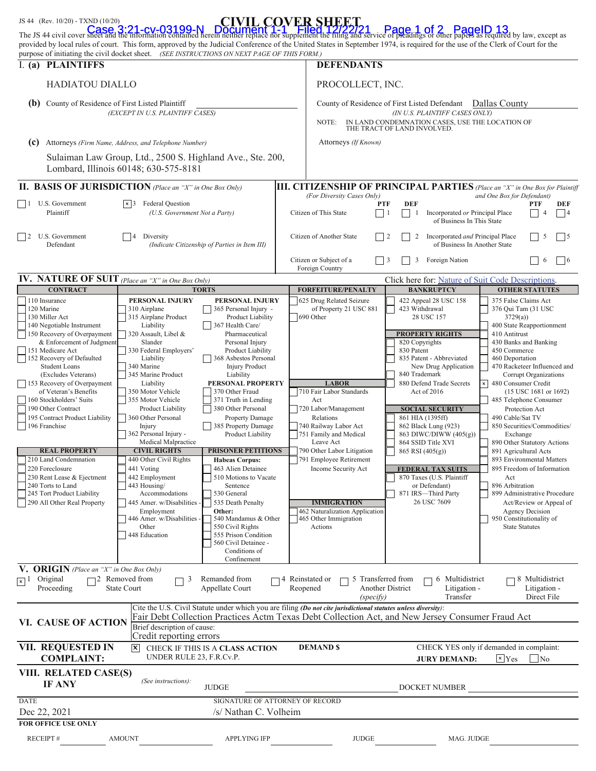| JS 44 (Rev. 10/20) - TXND (10/20)                                                                                                                                                                                                                                                                                                                                                                                                                                                                                                                                                      |                                                                                                                                                                                                                                                                                                                                                                                                                                                                                                                                                                              | <b>CIVIL COVER SHEET</b>                                                                                                                                                                                                                                                                                                                                                                                                                                                                                                                                                                                                                                   |                                    |                                                                                                                                                                                                                                                                                                                                                                                                     |                                                                                       |                                                                                                                                                                                                                                                                                                                                                                                                    |                                                                                                                                                                                                                                                                                                                                                                                                                                                                                                                                                                                                                                                       |                                                       |  |  |
|----------------------------------------------------------------------------------------------------------------------------------------------------------------------------------------------------------------------------------------------------------------------------------------------------------------------------------------------------------------------------------------------------------------------------------------------------------------------------------------------------------------------------------------------------------------------------------------|------------------------------------------------------------------------------------------------------------------------------------------------------------------------------------------------------------------------------------------------------------------------------------------------------------------------------------------------------------------------------------------------------------------------------------------------------------------------------------------------------------------------------------------------------------------------------|------------------------------------------------------------------------------------------------------------------------------------------------------------------------------------------------------------------------------------------------------------------------------------------------------------------------------------------------------------------------------------------------------------------------------------------------------------------------------------------------------------------------------------------------------------------------------------------------------------------------------------------------------------|------------------------------------|-----------------------------------------------------------------------------------------------------------------------------------------------------------------------------------------------------------------------------------------------------------------------------------------------------------------------------------------------------------------------------------------------------|---------------------------------------------------------------------------------------|----------------------------------------------------------------------------------------------------------------------------------------------------------------------------------------------------------------------------------------------------------------------------------------------------------------------------------------------------------------------------------------------------|-------------------------------------------------------------------------------------------------------------------------------------------------------------------------------------------------------------------------------------------------------------------------------------------------------------------------------------------------------------------------------------------------------------------------------------------------------------------------------------------------------------------------------------------------------------------------------------------------------------------------------------------------------|-------------------------------------------------------|--|--|
| The JS 44 civil cover sheet and the information contained herein neither replace nor supplement the filing and service of pleadings or other papers as required by law, except as<br>provided by local rules of court. This form, approved by the Judicial Conference of the United States in September 1974, is required for the use of the Clerk of Court for the<br>purpose of initiating the civil docket sheet. (SEE INSTRUCTIONS ON NEXT PAGE OF THIS FORM.)                                                                                                                     |                                                                                                                                                                                                                                                                                                                                                                                                                                                                                                                                                                              |                                                                                                                                                                                                                                                                                                                                                                                                                                                                                                                                                                                                                                                            |                                    |                                                                                                                                                                                                                                                                                                                                                                                                     |                                                                                       |                                                                                                                                                                                                                                                                                                                                                                                                    |                                                                                                                                                                                                                                                                                                                                                                                                                                                                                                                                                                                                                                                       |                                                       |  |  |
| I. (a) PLAINTIFFS                                                                                                                                                                                                                                                                                                                                                                                                                                                                                                                                                                      |                                                                                                                                                                                                                                                                                                                                                                                                                                                                                                                                                                              |                                                                                                                                                                                                                                                                                                                                                                                                                                                                                                                                                                                                                                                            |                                    | <b>DEFENDANTS</b>                                                                                                                                                                                                                                                                                                                                                                                   |                                                                                       |                                                                                                                                                                                                                                                                                                                                                                                                    |                                                                                                                                                                                                                                                                                                                                                                                                                                                                                                                                                                                                                                                       |                                                       |  |  |
| <b>HADIATOU DIALLO</b>                                                                                                                                                                                                                                                                                                                                                                                                                                                                                                                                                                 |                                                                                                                                                                                                                                                                                                                                                                                                                                                                                                                                                                              |                                                                                                                                                                                                                                                                                                                                                                                                                                                                                                                                                                                                                                                            |                                    | PROCOLLECT, INC.                                                                                                                                                                                                                                                                                                                                                                                    |                                                                                       |                                                                                                                                                                                                                                                                                                                                                                                                    |                                                                                                                                                                                                                                                                                                                                                                                                                                                                                                                                                                                                                                                       |                                                       |  |  |
| <b>(b)</b> County of Residence of First Listed Plaintiff<br>(EXCEPT IN U.S. PLAINTIFF CASES)                                                                                                                                                                                                                                                                                                                                                                                                                                                                                           |                                                                                                                                                                                                                                                                                                                                                                                                                                                                                                                                                                              |                                                                                                                                                                                                                                                                                                                                                                                                                                                                                                                                                                                                                                                            |                                    | County of Residence of First Listed Defendant Dallas County<br>(IN U.S. PLAINTIFF CASES ONLY)                                                                                                                                                                                                                                                                                                       |                                                                                       |                                                                                                                                                                                                                                                                                                                                                                                                    |                                                                                                                                                                                                                                                                                                                                                                                                                                                                                                                                                                                                                                                       |                                                       |  |  |
|                                                                                                                                                                                                                                                                                                                                                                                                                                                                                                                                                                                        |                                                                                                                                                                                                                                                                                                                                                                                                                                                                                                                                                                              |                                                                                                                                                                                                                                                                                                                                                                                                                                                                                                                                                                                                                                                            |                                    | IN LAND CONDEMNATION CASES, USE THE LOCATION OF<br>NOTE:<br>THE TRACT OF LAND INVOLVED.                                                                                                                                                                                                                                                                                                             |                                                                                       |                                                                                                                                                                                                                                                                                                                                                                                                    |                                                                                                                                                                                                                                                                                                                                                                                                                                                                                                                                                                                                                                                       |                                                       |  |  |
| (c) Attorneys (Firm Name, Address, and Telephone Number)<br>Sulaiman Law Group, Ltd., 2500 S. Highland Ave., Ste. 200,                                                                                                                                                                                                                                                                                                                                                                                                                                                                 |                                                                                                                                                                                                                                                                                                                                                                                                                                                                                                                                                                              |                                                                                                                                                                                                                                                                                                                                                                                                                                                                                                                                                                                                                                                            |                                    | Attorneys (If Known)                                                                                                                                                                                                                                                                                                                                                                                |                                                                                       |                                                                                                                                                                                                                                                                                                                                                                                                    |                                                                                                                                                                                                                                                                                                                                                                                                                                                                                                                                                                                                                                                       |                                                       |  |  |
|                                                                                                                                                                                                                                                                                                                                                                                                                                                                                                                                                                                        | Lombard, Illinois 60148; 630-575-8181                                                                                                                                                                                                                                                                                                                                                                                                                                                                                                                                        |                                                                                                                                                                                                                                                                                                                                                                                                                                                                                                                                                                                                                                                            |                                    |                                                                                                                                                                                                                                                                                                                                                                                                     |                                                                                       |                                                                                                                                                                                                                                                                                                                                                                                                    |                                                                                                                                                                                                                                                                                                                                                                                                                                                                                                                                                                                                                                                       |                                                       |  |  |
| <b>II. BASIS OF JURISDICTION</b> (Place an "X" in One Box Only)                                                                                                                                                                                                                                                                                                                                                                                                                                                                                                                        |                                                                                                                                                                                                                                                                                                                                                                                                                                                                                                                                                                              |                                                                                                                                                                                                                                                                                                                                                                                                                                                                                                                                                                                                                                                            |                                    | <b>III. CITIZENSHIP OF PRINCIPAL PARTIES</b> (Place an "X" in One Box for Plaintiff                                                                                                                                                                                                                                                                                                                 |                                                                                       |                                                                                                                                                                                                                                                                                                                                                                                                    |                                                                                                                                                                                                                                                                                                                                                                                                                                                                                                                                                                                                                                                       |                                                       |  |  |
| U.S. Government<br><b>Federal Question</b><br>$\vert$ 1<br>$\vert \times \vert$ 3<br>Plaintiff<br>(U.S. Government Not a Party)                                                                                                                                                                                                                                                                                                                                                                                                                                                        |                                                                                                                                                                                                                                                                                                                                                                                                                                                                                                                                                                              |                                                                                                                                                                                                                                                                                                                                                                                                                                                                                                                                                                                                                                                            |                                    | (For Diversity Cases Only)<br>and One Box for Defendant)<br><b>DEF</b><br><b>PTF</b><br><b>PTF</b><br>DEF<br>Citizen of This State<br>Incorporated or Principal Place<br> 4<br>$\Box$<br>$\mathbf{1}$<br>of Business In This State                                                                                                                                                                  |                                                                                       |                                                                                                                                                                                                                                                                                                                                                                                                    |                                                                                                                                                                                                                                                                                                                                                                                                                                                                                                                                                                                                                                                       |                                                       |  |  |
| U.S. Government<br>$\frac{12}{2}$<br>Defendant                                                                                                                                                                                                                                                                                                                                                                                                                                                                                                                                         | Diversity<br>(Indicate Citizenship of Parties in Item III)                                                                                                                                                                                                                                                                                                                                                                                                                                                                                                                   |                                                                                                                                                                                                                                                                                                                                                                                                                                                                                                                                                                                                                                                            |                                    | Citizen of Another State                                                                                                                                                                                                                                                                                                                                                                            |                                                                                       | Incorporated and Principal Place<br>$\frac{12}{2}$<br>2<br>$\frac{15}{2}$<br>$\sim$<br>of Business In Another State                                                                                                                                                                                                                                                                                |                                                                                                                                                                                                                                                                                                                                                                                                                                                                                                                                                                                                                                                       |                                                       |  |  |
|                                                                                                                                                                                                                                                                                                                                                                                                                                                                                                                                                                                        |                                                                                                                                                                                                                                                                                                                                                                                                                                                                                                                                                                              |                                                                                                                                                                                                                                                                                                                                                                                                                                                                                                                                                                                                                                                            |                                    | Citizen or Subject of a<br>Foreign Nation<br>$\vert$ 3<br>3<br>$\sqrt{6}$<br>6<br>Foreign Country                                                                                                                                                                                                                                                                                                   |                                                                                       |                                                                                                                                                                                                                                                                                                                                                                                                    |                                                                                                                                                                                                                                                                                                                                                                                                                                                                                                                                                                                                                                                       |                                                       |  |  |
| IV. NATURE OF SUIT (Place an "X" in One Box Only)                                                                                                                                                                                                                                                                                                                                                                                                                                                                                                                                      |                                                                                                                                                                                                                                                                                                                                                                                                                                                                                                                                                                              |                                                                                                                                                                                                                                                                                                                                                                                                                                                                                                                                                                                                                                                            |                                    |                                                                                                                                                                                                                                                                                                                                                                                                     |                                                                                       | Click here for: Nature of Suit Code Descriptions.                                                                                                                                                                                                                                                                                                                                                  |                                                                                                                                                                                                                                                                                                                                                                                                                                                                                                                                                                                                                                                       |                                                       |  |  |
|                                                                                                                                                                                                                                                                                                                                                                                                                                                                                                                                                                                        | <b>CONTRACT</b><br><b>TORTS</b>                                                                                                                                                                                                                                                                                                                                                                                                                                                                                                                                              |                                                                                                                                                                                                                                                                                                                                                                                                                                                                                                                                                                                                                                                            |                                    | <b>FORFEITURE/PENALTY</b>                                                                                                                                                                                                                                                                                                                                                                           | <b>BANKRUPTCY</b><br><b>OTHER STATUTES</b><br>375 False Claims Act                    |                                                                                                                                                                                                                                                                                                                                                                                                    |                                                                                                                                                                                                                                                                                                                                                                                                                                                                                                                                                                                                                                                       |                                                       |  |  |
| 110 Insurance<br>120 Marine<br>130 Miller Act<br>140 Negotiable Instrument<br>150 Recovery of Overpayment<br>& Enforcement of Judgment<br>151 Medicare Act<br>152 Recovery of Defaulted<br><b>Student Loans</b><br>(Excludes Veterans)<br>153 Recovery of Overpayment<br>of Veteran's Benefits<br>160 Stockholders' Suits<br>190 Other Contract<br>195 Contract Product Liability<br>196 Franchise<br><b>REAL PROPERTY</b><br>210 Land Condemnation<br>220 Foreclosure<br>230 Rent Lease & Ejectment<br>240 Torts to Land<br>245 Tort Product Liability<br>290 All Other Real Property | PERSONAL INJURY<br>310 Airplane<br>315 Airplane Product<br>Liability<br>320 Assault, Libel &<br>Slander<br>330 Federal Employers'<br>Liability<br>340 Marine<br>345 Marine Product<br>Liability<br>350 Motor Vehicle<br>355 Motor Vehicle<br><b>Product Liability</b><br>360 Other Personal<br>Injury<br>362 Personal Injury -<br>Medical Malpractice<br><b>CIVIL RIGHTS</b><br>440 Other Civil Rights<br>441 Voting<br>442 Employment<br>443 Housing/<br>Accommodations<br>445 Amer. w/Disabilities -<br>Employment<br>446 Amer. w/Disabilities -<br>Other<br>448 Education | PERSONAL INJURY<br>365 Personal Injury -<br>Product Liability<br>367 Health Care/<br>Pharmaceutical<br>Personal Injury<br>Product Liability<br>368 Asbestos Personal<br><b>Injury Product</b><br>Liability<br>PERSONAL PROPERTY<br>370 Other Fraud<br>371 Truth in Lending<br>380 Other Personal<br>Property Damage<br>385 Property Damage<br>Product Liability<br><b>PRISONER PETITIONS</b><br><b>Habeas Corpus:</b><br>463 Alien Detainee<br>510 Motions to Vacate<br>Sentence<br>530 General<br>535 Death Penalty<br>Other:<br>540 Mandamus & Other<br>550 Civil Rights<br>555 Prison Condition<br>560 Civil Detainee -<br>Conditions of<br>Confinement |                                    | 625 Drug Related Seizure<br>of Property 21 USC 881<br>690 Other<br><b>LABOR</b><br>710 Fair Labor Standards<br>Act<br>720 Labor/Management<br>Relations<br>740 Railway Labor Act<br>751 Family and Medical<br>Leave Act<br>790 Other Labor Litigation<br>791 Employee Retirement<br>Income Security Act<br><b>IMMIGRATION</b><br>462 Naturalization Application<br>465 Other Immigration<br>Actions | 423 Withdrawal<br>820 Copyrights<br>830 Patent<br>840 Trademark<br>865 RSI $(405(g))$ | 422 Appeal 28 USC 158<br>28 USC 157<br><b>PROPERTY RIGHTS</b><br>835 Patent - Abbreviated<br>New Drug Application<br>880 Defend Trade Secrets<br>Act of 2016<br><b>SOCIAL SECURITY</b><br>861 HIA (1395ff)<br>862 Black Lung (923)<br>863 DIWC/DIWW (405(g))<br>864 SSID Title XVI<br><b>FEDERAL TAX SUITS</b><br>870 Taxes (U.S. Plaintiff<br>or Defendant)<br>871 IRS-Third Party<br>26 USC 7609 | 376 Qui Tam (31 USC<br>3729(a)<br>400 State Reapportionment<br>410 Antitrust<br>430 Banks and Banking<br>450 Commerce<br>460 Deportation<br>470 Racketeer Influenced and<br>Corrupt Organizations<br>480 Consumer Credit<br>$(15$ USC 1681 or 1692)<br>485 Telephone Consumer<br>Protection Act<br>490 Cable/Sat TV<br>850 Securities/Commodities/<br>Exchange<br>890 Other Statutory Actions<br>891 Agricultural Acts<br>893 Environmental Matters<br>895 Freedom of Information<br>Act<br>896 Arbitration<br>899 Administrative Procedure<br>Act/Review or Appeal of<br><b>Agency Decision</b><br>950 Constitutionality of<br><b>State Statutes</b> |                                                       |  |  |
| <b>V. ORIGIN</b> (Place an "X" in One Box Only)<br>$\sqrt{\vert x \vert}$ 1 Original<br>Proceeding<br>VI. CAUSE OF ACTION                                                                                                                                                                                                                                                                                                                                                                                                                                                              | $\Box$ 2 Removed from<br>3<br>Г<br><b>State Court</b><br>Brief description of cause:                                                                                                                                                                                                                                                                                                                                                                                                                                                                                         | Remanded from<br>Appellate Court                                                                                                                                                                                                                                                                                                                                                                                                                                                                                                                                                                                                                           | $\Box$ 4 Reinstated or<br>Reopened | 5 Transferred from<br>(specify)<br>Cite the U.S. Civil Statute under which you are filing (Do not cite jurisdictional statutes unless diversity):<br>Fair Debt Collection Practices Actm Texas Debt Collection Act, and New Jersey Consumer Fraud Act                                                                                                                                               | <b>Another District</b>                                                               | 6 Multidistrict<br>Litigation -<br>Transfer                                                                                                                                                                                                                                                                                                                                                        |                                                                                                                                                                                                                                                                                                                                                                                                                                                                                                                                                                                                                                                       | $\Box$ 8 Multidistrict<br>Litigation -<br>Direct File |  |  |
| VII. REQUESTED IN<br><b>COMPLAINT:</b>                                                                                                                                                                                                                                                                                                                                                                                                                                                                                                                                                 | CHECK IF THIS IS A CLASS ACTION                                                                                                                                                                                                                                                                                                                                                                                                                                                                                                                                              | <b>DEMAND \$</b><br>CHECK YES only if demanded in complaint:<br><b>x</b> Yes<br>$\vert$ No<br><b>JURY DEMAND:</b>                                                                                                                                                                                                                                                                                                                                                                                                                                                                                                                                          |                                    |                                                                                                                                                                                                                                                                                                                                                                                                     |                                                                                       |                                                                                                                                                                                                                                                                                                                                                                                                    |                                                                                                                                                                                                                                                                                                                                                                                                                                                                                                                                                                                                                                                       |                                                       |  |  |
| VIII. RELATED CASE(S)<br>IF ANY                                                                                                                                                                                                                                                                                                                                                                                                                                                                                                                                                        | UNDER RULE 23, F.R.Cv.P.<br>(See instructions):                                                                                                                                                                                                                                                                                                                                                                                                                                                                                                                              | <b>JUDGE</b>                                                                                                                                                                                                                                                                                                                                                                                                                                                                                                                                                                                                                                               |                                    |                                                                                                                                                                                                                                                                                                                                                                                                     |                                                                                       | DOCKET NUMBER                                                                                                                                                                                                                                                                                                                                                                                      |                                                                                                                                                                                                                                                                                                                                                                                                                                                                                                                                                                                                                                                       |                                                       |  |  |
| <b>DATE</b><br>Dec 22, 2021                                                                                                                                                                                                                                                                                                                                                                                                                                                                                                                                                            | SIGNATURE OF ATTORNEY OF RECORD<br>/s/ Nathan C. Volheim                                                                                                                                                                                                                                                                                                                                                                                                                                                                                                                     |                                                                                                                                                                                                                                                                                                                                                                                                                                                                                                                                                                                                                                                            |                                    |                                                                                                                                                                                                                                                                                                                                                                                                     |                                                                                       |                                                                                                                                                                                                                                                                                                                                                                                                    |                                                                                                                                                                                                                                                                                                                                                                                                                                                                                                                                                                                                                                                       |                                                       |  |  |
| FOR OFFICE USE ONLY<br><b>RECEIPT#</b>                                                                                                                                                                                                                                                                                                                                                                                                                                                                                                                                                 | <b>AMOUNT</b>                                                                                                                                                                                                                                                                                                                                                                                                                                                                                                                                                                | <b>APPLYING IFP</b>                                                                                                                                                                                                                                                                                                                                                                                                                                                                                                                                                                                                                                        |                                    | <b>JUDGE</b>                                                                                                                                                                                                                                                                                                                                                                                        |                                                                                       | MAG. JUDGE                                                                                                                                                                                                                                                                                                                                                                                         |                                                                                                                                                                                                                                                                                                                                                                                                                                                                                                                                                                                                                                                       |                                                       |  |  |
|                                                                                                                                                                                                                                                                                                                                                                                                                                                                                                                                                                                        |                                                                                                                                                                                                                                                                                                                                                                                                                                                                                                                                                                              |                                                                                                                                                                                                                                                                                                                                                                                                                                                                                                                                                                                                                                                            |                                    |                                                                                                                                                                                                                                                                                                                                                                                                     |                                                                                       |                                                                                                                                                                                                                                                                                                                                                                                                    |                                                                                                                                                                                                                                                                                                                                                                                                                                                                                                                                                                                                                                                       |                                                       |  |  |